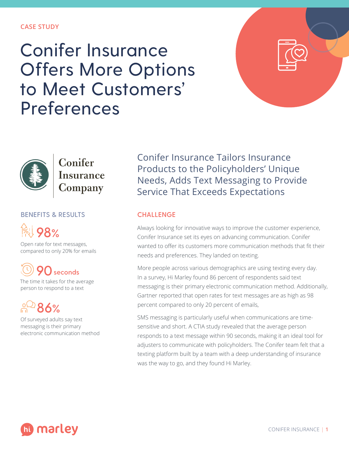### **CASE STUDY**

# Conifer Insurance Offers More Options to Meet Customers' Preferences





Conifer Insurance **Company** 

## **BENEFITS & RESULTS**



Open rate for text messages, compared to only 20% for emails

**90seconds**

The time it takes for the average person to respond to a text

**86%**

Of surveyed adults say text messaging is their primary electronic communication method Conifer Insurance Tailors Insurance Products to the Policyholders' Unique Needs, Adds Text Messaging to Provide Service That Exceeds Expectations

## **CHALLENGE**

Always looking for innovative ways to improve the customer experience, Conifer Insurance set its eyes on advancing communication. Conifer wanted to offer its customers more communication methods that fit their needs and preferences. They landed on texting.

More people across various demographics are using texting every day. In a survey, Hi Marley found 86 percent of respondents said text messaging is their primary electronic communication method. Additionally, Gartner reported that open rates for text messages are as high as 98 percent compared to only 20 percent of emails,

SMS messaging is particularly useful when communications are timesensitive and short. A CTIA study revealed that the average person responds to a text message within 90 seconds, making it an ideal tool for adjusters to communicate with policyholders. The Conifer team felt that a texting platform built by a team with a deep understanding of insurance was the way to go, and they found Hi Marley.

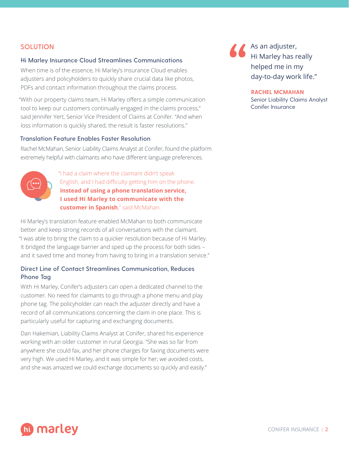## **SOLUTION**

#### **Hi Marley Insurance Cloud Streamlines Communications**

When time is of the essence, Hi Marley's Insurance Cloud enables adjusters and policyholders to quickly share crucial data like photos, PDFs and contact information throughout the claims process.

"With our property claims team, Hi Marley offers a simple communication tool to keep our customers continually engaged in the claims process," said Jennifer Yert, Senior Vice President of Claims at Conifer. "And when loss information is quickly shared, the result is faster resolutions."

### **Translation Feature Enables Faster Resolution**

Rachel McMahan, Senior Liability Claims Analyst at Conifer, found the platform extremely helpful with claimants who have different language preferences.



"I had a claim where the claimant didn't speak English, and I had difficulty getting him on the phone. **Instead of using a phone translation service, I used Hi Marley to communicate with the customer in Spanish**," said McMahan.

Hi Marley's translation feature enabled McMahan to both communicate better and keep strong records of all conversations with the claimant. "I was able to bring the claim to a quicker resolution because of Hi Marley. It bridged the language barrier and sped up the process for both sides – and it saved time and money from having to bring in a translation service."

## **Direct Line of Contact Streamlines Communication, Reduces Phone Tag**

With Hi Marley, Conifer's adjusters can open a dedicated channel to the customer. No need for claimants to go through a phone menu and play phone tag. The policyholder can reach the adjuster directly and have a record of all communications concerning the claim in one place. This is particularly useful for capturing and exchanging documents.

Dan Hakemian, Liability Claims Analyst at Conifer, shared his experience working with an older customer in rural Georgia. "She was so far from anywhere she could fax, and her phone charges for faxing documents were very high. We used Hi Marley, and it was simple for her; we avoided costs, and she was amazed we could exchange documents so quickly and easily."

As an adjuster, Hi Marley has really helped me in my day-to-day work life."

#### **RACHEL MCMAHAN**

Senior Liability Claims Analyst Conifer Insurance